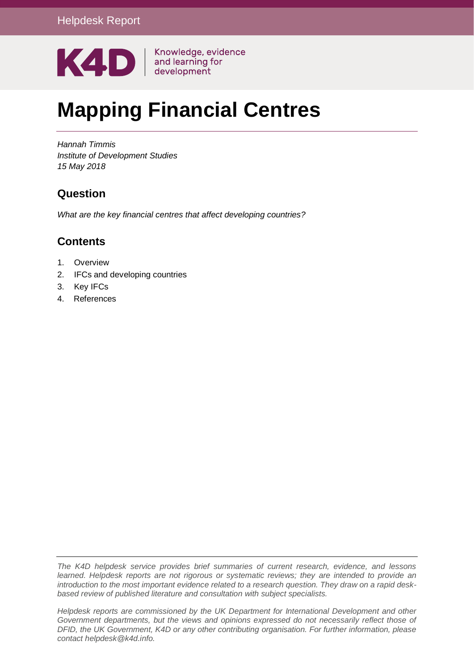

# **Mapping Financial Centres**

*Hannah Timmis Institute of Development Studies 15 May 2018*

## **Question**

*What are the key financial centres that affect developing countries?*

## **Contents**

- 1. [Overview](#page-1-0)
- 2. [IFCs and developing countries](#page-2-0)
- 3. [Key IFCs](#page-6-0)
- 4. References

*The K4D helpdesk service provides brief summaries of current research, evidence, and lessons learned. Helpdesk reports are not rigorous or systematic reviews; they are intended to provide an introduction to the most important evidence related to a research question. They draw on a rapid deskbased review of published literature and consultation with subject specialists.* 

*Helpdesk reports are commissioned by the UK Department for International Development and other*  Government departments, but the views and opinions expressed do not necessarily reflect those of *DFID, the UK Government, K4D or any other contributing organisation. For further information, please contact helpdesk@k4d.info.*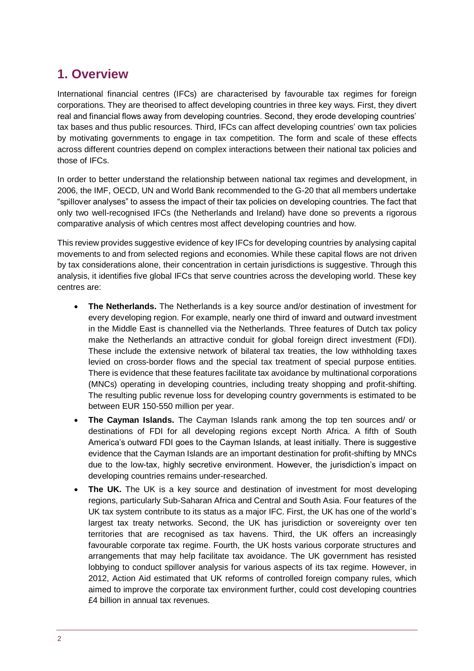# <span id="page-1-0"></span>**1. Overview**

International financial centres (IFCs) are characterised by favourable tax regimes for foreign corporations. They are theorised to affect developing countries in three key ways. First, they divert real and financial flows away from developing countries. Second, they erode developing countries' tax bases and thus public resources. Third, IFCs can affect developing countries' own tax policies by motivating governments to engage in tax competition. The form and scale of these effects across different countries depend on complex interactions between their national tax policies and those of IFCs.

In order to better understand the relationship between national tax regimes and development, in 2006, the IMF, OECD, UN and World Bank recommended to the G-20 that all members undertake "spillover analyses" to assess the impact of their tax policies on developing countries. The fact that only two well-recognised IFCs (the Netherlands and Ireland) have done so prevents a rigorous comparative analysis of which centres most affect developing countries and how.

This review provides suggestive evidence of key IFCs for developing countries by analysing capital movements to and from selected regions and economies. While these capital flows are not driven by tax considerations alone, their concentration in certain jurisdictions is suggestive. Through this analysis, it identifies five global IFCs that serve countries across the developing world. These key centres are:

- **The Netherlands.** The Netherlands is a key source and/or destination of investment for every developing region. For example, nearly one third of inward and outward investment in the Middle East is channelled via the Netherlands. Three features of Dutch tax policy make the Netherlands an attractive conduit for global foreign direct investment (FDI). These include the extensive network of bilateral tax treaties, the low withholding taxes levied on cross-border flows and the special tax treatment of special purpose entities. There is evidence that these features facilitate tax avoidance by multinational corporations (MNCs) operating in developing countries, including treaty shopping and profit-shifting. The resulting public revenue loss for developing country governments is estimated to be between EUR 150-550 million per year.
- **The Cayman Islands.** The Cayman Islands rank among the top ten sources and/ or destinations of FDI for all developing regions except North Africa. A fifth of South America's outward FDI goes to the Cayman Islands, at least initially. There is suggestive evidence that the Cayman Islands are an important destination for profit-shifting by MNCs due to the low-tax, highly secretive environment. However, the jurisdiction's impact on developing countries remains under-researched.
- **The UK.** The UK is a key source and destination of investment for most developing regions, particularly Sub-Saharan Africa and Central and South Asia. Four features of the UK tax system contribute to its status as a major IFC. First, the UK has one of the world's largest tax treaty networks. Second, the UK has jurisdiction or sovereignty over ten territories that are recognised as tax havens. Third, the UK offers an increasingly favourable corporate tax regime. Fourth, the UK hosts various corporate structures and arrangements that may help facilitate tax avoidance. The UK government has resisted lobbying to conduct spillover analysis for various aspects of its tax regime. However, in 2012, Action Aid estimated that UK reforms of controlled foreign company rules, which aimed to improve the corporate tax environment further, could cost developing countries £4 billion in annual tax revenues.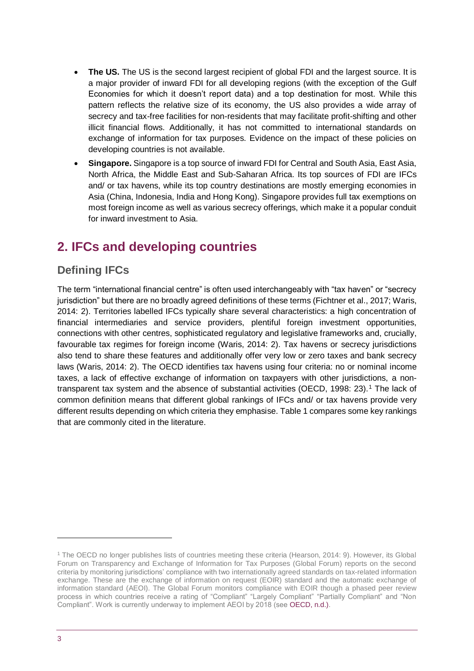- **The US.** The US is the second largest recipient of global FDI and the largest source. It is a major provider of inward FDI for all developing regions (with the exception of the Gulf Economies for which it doesn't report data) and a top destination for most. While this pattern reflects the relative size of its economy, the US also provides a wide array of secrecy and tax-free facilities for non-residents that may facilitate profit-shifting and other illicit financial flows. Additionally, it has not committed to international standards on exchange of information for tax purposes. Evidence on the impact of these policies on developing countries is not available.
- <span id="page-2-0"></span>• **Singapore.** Singapore is a top source of inward FDI for Central and South Asia, East Asia, North Africa, the Middle East and Sub-Saharan Africa. Its top sources of FDI are IFCs and/ or tax havens, while its top country destinations are mostly emerging economies in Asia (China, Indonesia, India and Hong Kong). Singapore provides full tax exemptions on most foreign income as well as various secrecy offerings, which make it a popular conduit for inward investment to Asia.

# **2. IFCs and developing countries**

## **Defining IFCs**

The term "international financial centre" is often used interchangeably with "tax haven" or "secrecy jurisdiction" but there are no broadly agreed definitions of these terms (Fichtner et al., 2017; Waris, 2014: 2). Territories labelled IFCs typically share several characteristics: a high concentration of financial intermediaries and service providers, plentiful foreign investment opportunities, connections with other centres, sophisticated regulatory and legislative frameworks and, crucially, favourable tax regimes for foreign income (Waris, 2014: 2). Tax havens or secrecy jurisdictions also tend to share these features and additionally offer very low or zero taxes and bank secrecy laws (Waris, 2014: 2). The OECD identifies tax havens using four criteria: no or nominal income taxes, a lack of effective exchange of information on taxpayers with other jurisdictions, a nontransparent tax system and the absence of substantial activities (OECD, 1998: 23).<sup>1</sup> The lack of common definition means that different global rankings of IFCs and/ or tax havens provide very different results depending on which criteria they emphasise. Table 1 compares some key rankings that are commonly cited in the literature.

1

<sup>1</sup> The OECD no longer publishes lists of countries meeting these criteria (Hearson, 2014: 9). However, its Global Forum on Transparency and Exchange of Information for Tax Purposes (Global Forum) reports on the second criteria by monitoring jurisdictions' compliance with two internationally agreed standards on tax-related information exchange. These are the exchange of information on request (EOIR) standard and the automatic exchange of information standard (AEOI). The Global Forum monitors compliance with EOIR though a phased peer review process in which countries receive a rating of "Compliant" "Largely Compliant" "Partially Compliant" and "Non Compliant". Work is currently underway to implement AEOI by 2018 (see [OECD, n.d.\).](http://www.oecd.org/tax/transparency/about-the-global-forum/)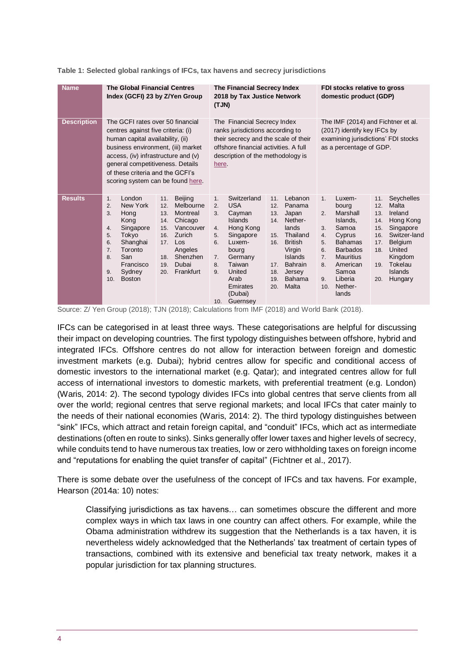| <b>Name</b>        | <b>The Global Financial Centres</b><br>Index (GCFI) 23 by Z/Yen Group                                                                                                                                                                                                                                                                                                                                  | The Financial Secrecy Index<br>2018 by Tax Justice Network<br>(TJN)                                                                                                                                                                                                                                                                                                                                                                                                               | FDI stocks relative to gross<br>domestic product (GDP)                                                                                                                                                                                                                                                                                                                                                                                                                            |
|--------------------|--------------------------------------------------------------------------------------------------------------------------------------------------------------------------------------------------------------------------------------------------------------------------------------------------------------------------------------------------------------------------------------------------------|-----------------------------------------------------------------------------------------------------------------------------------------------------------------------------------------------------------------------------------------------------------------------------------------------------------------------------------------------------------------------------------------------------------------------------------------------------------------------------------|-----------------------------------------------------------------------------------------------------------------------------------------------------------------------------------------------------------------------------------------------------------------------------------------------------------------------------------------------------------------------------------------------------------------------------------------------------------------------------------|
| <b>Description</b> | The GCFI rates over 50 financial<br>centres against five criteria: (i)<br>human capital availability, (ii)<br>business environment, (iii) market<br>access, (iv) infrastructure and $(v)$<br>general competitiveness. Details<br>of these criteria and the GCFI's<br>scoring system can be found here.                                                                                                 | The Financial Secrecy Index<br>ranks jurisdictions according to<br>their secrecy and the scale of their<br>offshore financial activities. A full<br>description of the methodology is<br>here.                                                                                                                                                                                                                                                                                    | The IMF (2014) and Fichtner et al.<br>(2017) identify key IFCs by<br>examining jurisdictions' FDI stocks<br>as a percentage of GDP.                                                                                                                                                                                                                                                                                                                                               |
| <b>Results</b>     | London<br>Beijing<br>11.<br>1.<br>New York<br>Melbourne<br>2.<br>12.<br>3.<br>Montreal<br>Hong<br>13.<br>Chicago<br>Kong<br>14.<br>Singapore<br>Vancouver<br>4.<br>15.<br>Tokyo<br>Zurich<br>5.<br>16.<br>Shanghai<br>$\mathsf{Los}$<br>6.<br>17.<br>Toronto<br>7.<br>Angeles<br>Shenzhen<br>San<br>8.<br>18.<br>Francisco<br>Dubai<br>19.<br>Frankfurt<br>Sydney<br>9.<br>20.<br><b>Boston</b><br>10. | Switzerland<br>Lebanon<br>11.<br>1.<br><b>USA</b><br>2.<br>12.<br>Panama<br>Cayman<br>13.<br>Japan<br>3.<br>Nether-<br><b>Islands</b><br>14.<br>Hong Kong<br>lands<br>4.<br>Thailand<br>Singapore<br>15.<br>5.<br><b>British</b><br>Luxem-<br>6.<br>16.<br>Virgin<br>bourg<br>Germany<br><b>Islands</b><br>7.<br>Taiwan<br><b>Bahrain</b><br>8.<br>17.<br>United<br>9.<br>Jersey<br>18.<br>Arab<br><b>Bahama</b><br>19.<br>Malta<br>Emirates<br>20.<br>(Dubai)<br>Guernsey<br>10. | Seychelles<br>1 <sub>1</sub><br>Luxem-<br>11.<br>Malta<br>12.<br>bourg<br>Marshall<br>Ireland<br>2.<br>13.<br>Islands,<br>Hong Kong<br>14.<br>Samoa<br>Singapore<br>3.<br>15.<br>Cyprus<br>Switzer-land<br>4.<br>16.<br><b>Bahamas</b><br><b>Belgium</b><br>5.<br>17.<br><b>Barbados</b><br>United<br>6.<br>18.<br><b>Mauritius</b><br>Kingdom<br>7.<br>American<br>Tokelau<br>8.<br>19.<br>Samoa<br><b>Islands</b><br>Liberia<br>Hungary<br>9.<br>20.<br>Nether-<br>10.<br>lands |

**Table 1: Selected global rankings of IFCs, tax havens and secrecy jurisdictions**

Source: Z/ Yen Group (2018); TJN (2018); Calculations from IMF (2018) and World Bank (2018).

IFCs can be categorised in at least three ways. These categorisations are helpful for discussing their impact on developing countries. The first typology distinguishes between offshore, hybrid and integrated IFCs. Offshore centres do not allow for interaction between foreign and domestic investment markets (e.g. Dubai); hybrid centres allow for specific and conditional access of domestic investors to the international market (e.g. Qatar); and integrated centres allow for full access of international investors to domestic markets, with preferential treatment (e.g. London) (Waris, 2014: 2). The second typology divides IFCs into global centres that serve clients from all over the world; regional centres that serve regional markets; and local IFCs that cater mainly to the needs of their national economies (Waris, 2014: 2). The third typology distinguishes between "sink" IFCs, which attract and retain foreign capital, and "conduit" IFCs, which act as intermediate destinations (often en route to sinks). Sinks generally offer lower taxes and higher levels of secrecy, while conduits tend to have numerous tax treaties, low or zero withholding taxes on foreign income and "reputations for enabling the quiet transfer of capital" (Fichtner et al., 2017).

There is some debate over the usefulness of the concept of IFCs and tax havens. For example, Hearson (2014a: 10) notes:

Classifying jurisdictions as tax havens… can sometimes obscure the different and more complex ways in which tax laws in one country can affect others. For example, while the Obama administration withdrew its suggestion that the Netherlands is a tax haven, it is nevertheless widely acknowledged that the Netherlands' tax treatment of certain types of transactions, combined with its extensive and beneficial tax treaty network, makes it a popular jurisdiction for tax planning structures.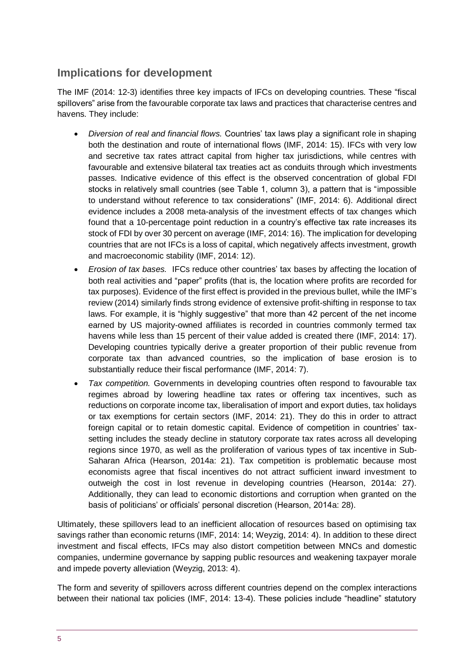## **Implications for development**

The IMF (2014: 12-3) identifies three key impacts of IFCs on developing countries. These "fiscal spillovers" arise from the favourable corporate tax laws and practices that characterise centres and havens. They include:

- *Diversion of real and financial flows.* Countries' tax laws play a significant role in shaping both the destination and route of international flows (IMF, 2014: 15). IFCs with very low and secretive tax rates attract capital from higher tax jurisdictions, while centres with favourable and extensive bilateral tax treaties act as conduits through which investments passes. Indicative evidence of this effect is the observed concentration of global FDI stocks in relatively small countries (see Table 1, column 3), a pattern that is "impossible to understand without reference to tax considerations" (IMF, 2014: 6). Additional direct evidence includes a 2008 meta-analysis of the investment effects of tax changes which found that a 10-percentage point reduction in a country's effective tax rate increases its stock of FDI by over 30 percent on average (IMF, 2014: 16). The implication for developing countries that are not IFCs is a loss of capital, which negatively affects investment, growth and macroeconomic stability (IMF, 2014: 12).
- *Erosion of tax bases.* IFCs reduce other countries' tax bases by affecting the location of both real activities and "paper" profits (that is, the location where profits are recorded for tax purposes). Evidence of the first effect is provided in the previous bullet, while the IMF's review (2014) similarly finds strong evidence of extensive profit-shifting in response to tax laws. For example, it is "highly suggestive" that more than 42 percent of the net income earned by US majority-owned affiliates is recorded in countries commonly termed tax havens while less than 15 percent of their value added is created there (IMF, 2014: 17). Developing countries typically derive a greater proportion of their public revenue from corporate tax than advanced countries, so the implication of base erosion is to substantially reduce their fiscal performance (IMF, 2014: 7).
- *Tax competition.* Governments in developing countries often respond to favourable tax regimes abroad by lowering headline tax rates or offering tax incentives, such as reductions on corporate income tax, liberalisation of import and export duties, tax holidays or tax exemptions for certain sectors (IMF, 2014: 21). They do this in order to attract foreign capital or to retain domestic capital. Evidence of competition in countries' taxsetting includes the steady decline in statutory corporate tax rates across all developing regions since 1970, as well as the proliferation of various types of tax incentive in Sub-Saharan Africa (Hearson, 2014a: 21). Tax competition is problematic because most economists agree that fiscal incentives do not attract sufficient inward investment to outweigh the cost in lost revenue in developing countries (Hearson, 2014a: 27). Additionally, they can lead to economic distortions and corruption when granted on the basis of politicians' or officials' personal discretion (Hearson, 2014a: 28).

Ultimately, these spillovers lead to an inefficient allocation of resources based on optimising tax savings rather than economic returns (IMF, 2014: 14; Weyzig, 2014: 4). In addition to these direct investment and fiscal effects, IFCs may also distort competition between MNCs and domestic companies, undermine governance by sapping public resources and weakening taxpayer morale and impede poverty alleviation (Weyzig, 2013: 4).

The form and severity of spillovers across different countries depend on the complex interactions between their national tax policies (IMF, 2014: 13-4). These policies include "headline" statutory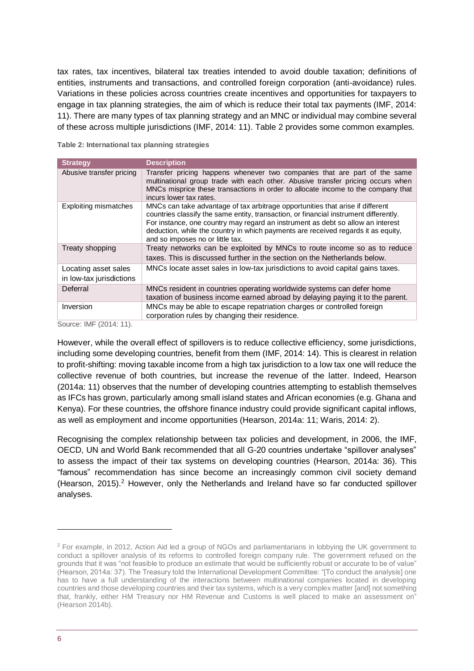tax rates, tax incentives, bilateral tax treaties intended to avoid double taxation; definitions of entities, instruments and transactions, and controlled foreign corporation (anti-avoidance) rules. Variations in these policies across countries create incentives and opportunities for taxpayers to engage in tax planning strategies, the aim of which is reduce their total tax payments (IMF, 2014: 11). There are many types of tax planning strategy and an MNC or individual may combine several of these across multiple jurisdictions (IMF, 2014: 11). Table 2 provides some common examples.

**Table 2: International tax planning strategies**

| <b>Strategy</b>              | <b>Description</b>                                                                                                                                                                                                                                                                                                                                                                  |
|------------------------------|-------------------------------------------------------------------------------------------------------------------------------------------------------------------------------------------------------------------------------------------------------------------------------------------------------------------------------------------------------------------------------------|
| Abusive transfer pricing     | Transfer pricing happens whenever two companies that are part of the same<br>multinational group trade with each other. Abusive transfer pricing occurs when<br>MNCs misprice these transactions in order to allocate income to the company that<br>incurs lower tax rates.                                                                                                         |
| <b>Exploiting mismatches</b> | MNCs can take advantage of tax arbitrage opportunities that arise if different<br>countries classify the same entity, transaction, or financial instrument differently.<br>For instance, one country may regard an instrument as debt so allow an interest<br>deduction, while the country in which payments are received regards it as equity,<br>and so imposes no or little tax. |
| Treaty shopping              | Treaty networks can be exploited by MNCs to route income so as to reduce                                                                                                                                                                                                                                                                                                            |
|                              | taxes. This is discussed further in the section on the Netherlands below.                                                                                                                                                                                                                                                                                                           |
| Locating asset sales         | MNCs locate asset sales in low-tax jurisdictions to avoid capital gains taxes.                                                                                                                                                                                                                                                                                                      |
| in low-tax jurisdictions     |                                                                                                                                                                                                                                                                                                                                                                                     |
| Deferral                     | MNCs resident in countries operating worldwide systems can defer home<br>taxation of business income earned abroad by delaying paying it to the parent.                                                                                                                                                                                                                             |
| Inversion                    | MNCs may be able to escape repatriation charges or controlled foreign<br>corporation rules by changing their residence.                                                                                                                                                                                                                                                             |

Source: IMF (2014: 11).

However, while the overall effect of spillovers is to reduce collective efficiency, some jurisdictions, including some developing countries, benefit from them (IMF, 2014: 14). This is clearest in relation to profit-shifting: moving taxable income from a high tax jurisdiction to a low tax one will reduce the collective revenue of both countries, but increase the revenue of the latter. Indeed, Hearson (2014a: 11) observes that the number of developing countries attempting to establish themselves as IFCs has grown, particularly among small island states and African economies (e.g. Ghana and Kenya). For these countries, the offshore finance industry could provide significant capital inflows, as well as employment and income opportunities (Hearson, 2014a: 11; Waris, 2014: 2).

Recognising the complex relationship between tax policies and development, in 2006, the IMF, OECD, UN and World Bank recommended that all G-20 countries undertake "spillover analyses" to assess the impact of their tax systems on developing countries (Hearson, 2014a: 36). This "famous" recommendation has since become an increasingly common civil society demand (Hearson, 2015).<sup>2</sup> However, only the Netherlands and Ireland have so far conducted spillover analyses.

1

<sup>2</sup> For example, in 2012, Action Aid led a group of NGOs and parliamentarians in lobbying the UK government to conduct a spillover analysis of its reforms to controlled foreign company rule. The government refused on the grounds that it was "not feasible to produce an estimate that would be sufficiently robust or accurate to be of value" (Hearson, 2014a: 37). The Treasury told the International Development Committee: "[To conduct the analysis] one has to have a full understanding of the interactions between multinational companies located in developing countries and those developing countries and their tax systems, which is a very complex matter [and] not something that, frankly, either HM Treasury nor HM Revenue and Customs is well placed to make an assessment on" (Hearson 2014b).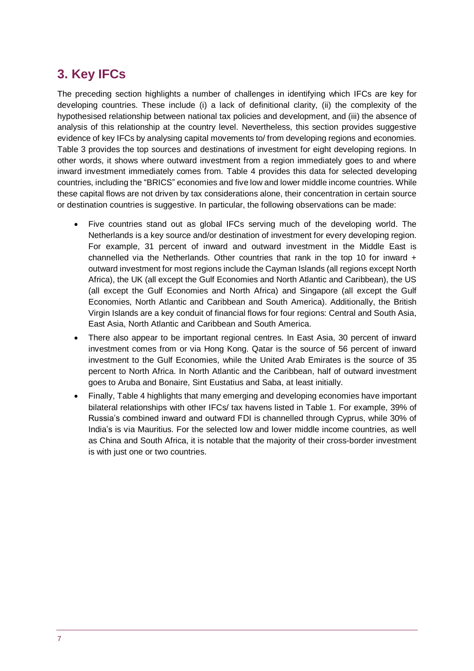# <span id="page-6-0"></span>**3. Key IFCs**

The preceding section highlights a number of challenges in identifying which IFCs are key for developing countries. These include (i) a lack of definitional clarity, (ii) the complexity of the hypothesised relationship between national tax policies and development, and (iii) the absence of analysis of this relationship at the country level. Nevertheless, this section provides suggestive evidence of key IFCs by analysing capital movements to/ from developing regions and economies. Table 3 provides the top sources and destinations of investment for eight developing regions. In other words, it shows where outward investment from a region immediately goes to and where inward investment immediately comes from. Table 4 provides this data for selected developing countries, including the "BRICS" economies and five low and lower middle income countries. While these capital flows are not driven by tax considerations alone, their concentration in certain source or destination countries is suggestive. In particular, the following observations can be made:

- Five countries stand out as global IFCs serving much of the developing world. The Netherlands is a key source and/or destination of investment for every developing region. For example, 31 percent of inward and outward investment in the Middle East is channelled via the Netherlands. Other countries that rank in the top 10 for inward  $+$ outward investment for most regions include the Cayman Islands (all regions except North Africa), the UK (all except the Gulf Economies and North Atlantic and Caribbean), the US (all except the Gulf Economies and North Africa) and Singapore (all except the Gulf Economies, North Atlantic and Caribbean and South America). Additionally, the British Virgin Islands are a key conduit of financial flows for four regions: Central and South Asia, East Asia, North Atlantic and Caribbean and South America.
- There also appear to be important regional centres. In East Asia, 30 percent of inward investment comes from or via Hong Kong. Qatar is the source of 56 percent of inward investment to the Gulf Economies, while the United Arab Emirates is the source of 35 percent to North Africa. In North Atlantic and the Caribbean, half of outward investment goes to Aruba and Bonaire, Sint Eustatius and Saba, at least initially.
- Finally, Table 4 highlights that many emerging and developing economies have important bilateral relationships with other IFCs/ tax havens listed in Table 1. For example, 39% of Russia's combined inward and outward FDI is channelled through Cyprus, while 30% of India's is via Mauritius. For the selected low and lower middle income countries, as well as China and South Africa, it is notable that the majority of their cross-border investment is with just one or two countries.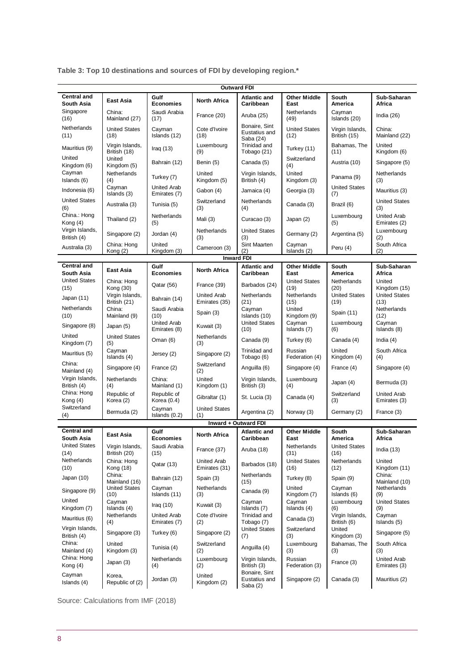| <b>Outward FDI</b>               |                                 |                                    |                                     |                                             |                              |                                 |                                    |
|----------------------------------|---------------------------------|------------------------------------|-------------------------------------|---------------------------------------------|------------------------------|---------------------------------|------------------------------------|
| <b>Central and</b><br>South Asia | <b>East Asia</b>                | Gulf<br><b>Economies</b>           | <b>North Africa</b>                 | <b>Atlantic and</b><br>Caribbean            | <b>Other Middle</b><br>East  | South<br>America                | Sub-Saharan<br>Africa              |
| Singapore<br>(16)                | China:<br>Mainland (27)         | Saudi Arabia<br>(17)               | France (20)                         | Aruba (25)                                  | Netherlands<br>(49)          | Cayman<br>Islands (20)          | India $(26)$                       |
| Netherlands<br>(11)              | <b>United States</b><br>(18)    | Cayman<br>Islands (12)             | Cote d'Ivoire<br>(18)               | Bonaire, Sint<br>Eustatius and<br>Saba (24) | <b>United States</b><br>(12) | Virgin Islands,<br>British (15) | China:<br>Mainland (22)            |
| Mauritius (9)                    | Virgin Islands,<br>British (18) | Iraq $(13)$                        | Luxembourg<br>(9)                   | Trinidad and<br>Tobago (21)                 | Turkey (11)                  | Bahamas, The<br>(11)            | United<br>Kingdom (6)              |
| United<br>Kingdom (6)            | United<br>Kingdom (5)           | Bahrain (12)                       | Benin (5)                           | Canada (5)                                  | Switzerland<br>(4)           | Austria (10)                    | Singapore (5)                      |
| Cayman<br>Islands (6)            | Netherlands<br>(4)              | Turkey (7)                         | United<br>Kingdom (5)               | Virgin Islands,<br>British (4)              | United<br>Kingdom (3)        | Panama (9)                      | Netherlands<br>(3)                 |
| Indonesia (6)                    | Cayman<br>Islands (3)           | <b>United Arab</b><br>Emirates (7) | Gabon (4)                           | Jamaica (4)                                 | Georgia (3)                  | <b>United States</b><br>(7)     | Mauritius (3)                      |
| <b>United States</b><br>(6)      | Australia (3)                   | Tunisia (5)                        | Switzerland<br>(3)                  | Netherlands<br>(4)                          | Canada (3)                   | Brazil (6)                      | <b>United States</b><br>(3)        |
| China.: Hong<br>Kong $(4)$       | Thailand (2)                    | Netherlands<br>(5)                 | Mali (3)                            | Curacao (3)                                 | Japan (2)                    | Luxembourg<br>(5)               | <b>United Arab</b><br>Emirates (2) |
| Virgin Islands,<br>British (4)   | Singapore (2)                   | Jordan (4)                         | Netherlands<br>(3)                  | <b>United States</b><br>(3)                 | Germany (2)                  | Argentina (5)                   | Luxembourg<br>(2)                  |
| Australia (3)                    | China: Hong<br>Kong (2)         | United<br>Kingdom (3)              | Cameroon (3)                        | Sint Maarten<br>(2)                         | Cayman<br>Islands (2)        | Peru (4)                        | South Africa<br>(2)                |
|                                  |                                 |                                    |                                     | <b>Inward FDI</b>                           |                              |                                 |                                    |
| <b>Central and</b><br>South Asia | <b>East Asia</b>                | Gulf<br><b>Economies</b>           | <b>North Africa</b>                 | <b>Atlantic and</b><br>Caribbean            | <b>Other Middle</b><br>East  | South<br>America                | Sub-Saharan<br>Africa              |
| <b>United States</b><br>(15)     | China: Hong<br>Kong (30)        | Qatar (56)                         | France (39)                         | Barbados (24)                               | <b>United States</b><br>(19) | Netherlands<br>(20)             | United<br>Kingdom (15)             |
| Japan (11)                       | Virgin Islands,<br>British (21) | Bahrain (14)                       | <b>United Arab</b><br>Emirates (35) | Netherlands<br>(21)                         | Netherlands<br>(15)          | <b>United States</b><br>(19)    | <b>United States</b><br>(13)       |
| Netherlands<br>(10)              | China:<br>Mainland (9)          | Saudi Arabia<br>(10)               | Spain (3)                           | Cayman<br>Islands (10)                      | United<br>Kingdom (9)        | Spain (11)                      | Netherlands<br>(12)                |
| Singapore (8)                    | Japan (5)                       | <b>United Arab</b><br>Emirates (8) | Kuwait (3)                          | <b>United States</b><br>(10)                | Cayman<br>Islands (7)        | Luxembourg<br>(6)               | Cayman<br>Islands (8)              |
| United<br>Kingdom (7)            | <b>United States</b><br>(5)     | Oman $(6)$                         | Netherlands<br>(3)                  | Canada (9)                                  | Turkey (6)                   | Canada (4)                      | India $(4)$                        |
| Mauritius (5)                    | Cayman<br>Islands (4)           | Jersey (2)                         | Singapore (2)                       | Trinidad and<br>Tobago (6)                  | Russian<br>Federation (4)    | United<br>Kingdom (4)           | South Africa<br>(4)                |
| China:<br>Mainland (4)           | Singapore (4)                   | France (2)                         | Switzerland<br>(2)                  | Anguilla (6)                                | Singapore (4)                | France (4)                      | Singapore (4)                      |
| Virgin Islands,<br>British (4)   | Netherlands<br>(4)              | China:<br>Mainland (1)             | United<br>Kingdom (1)               | Virgin Islands,<br>British (3)              | Luxembourg<br>(4)            | Japan (4)                       | Bermuda (3)                        |
| China: Hong<br>Kong (4)          | Republic of<br>Korea (2)        | Republic of<br>Korea $(0.4)$       | Gibraltar (1)                       | St. Lucia (3)                               | Canada (4)                   | Switzerland<br>(3)              | <b>United Arab</b><br>Emirates (3) |
| Switzerland<br>(4)               | Bermuda (2)                     | Cayman<br>Islands (0.2)            | <b>United States</b><br>(1)         | Argentina (2)                               | Norway (3)                   | Germany (2)                     | France (3)                         |
|                                  |                                 |                                    |                                     | Inward + Outward FDI                        |                              |                                 |                                    |
| <b>Central and</b><br>South Asia | East Asia                       | Gulf<br>Economies                  | North Africa                        | <b>Atlantic and</b><br>Caribbean            | <b>Other Middle</b><br>East  | South<br>America                | Sub-Saharan<br>Africa              |
| <b>United States</b><br>(14)     | Virgin Islands,<br>British (20) | Saudi Arabia<br>(15)               | France (37)                         | Aruba (18)                                  | Netherlands<br>(31)          | <b>United States</b><br>(16)    | India $(13)$                       |
| Netherlands<br>(10)              | China: Hong<br>Kong (18)        | Qatar (13)                         | <b>United Arab</b><br>Emirates (31) | Barbados (18)                               | <b>United States</b><br>(16) | Netherlands<br>(12)             | United<br>Kingdom (11)             |
| Japan (10)                       | China:<br>Mainland (16)         | Bahrain (12)                       | Spain (3)                           | Netherlands<br>(15)                         | Turkey (8)                   | Spain (9)                       | China:<br>Mainland (10)            |
| Singapore (9)                    | <b>United States</b><br>(10)    | Cayman<br>Islands (11)             | Netherlands<br>(3)                  | Canada (9)                                  | United<br>Kingdom (7)        | Cayman<br>Islands (6)           | Netherlands<br>(9)                 |
| United<br>Kingdom (7)            | Cayman<br>Islands (4)           | Iraq $(10)$                        | Kuwait (3)                          | Cayman<br>Islands (7)                       | Cayman<br>Islands (4)        | Luxembourg<br>(6)               | <b>United States</b><br>(9)        |
| Mauritius (6)                    | Netherlands<br>(4)              | <b>United Arab</b><br>Emirates (7) | Cote d'Ivoire<br>(2)                | Trinidad and<br>Tobago (7)                  | Canada (3)                   | Virgin Islands,<br>British (6)  | Cayman<br>Islands (5)              |
| Virgin Islands,<br>British (4)   | Singapore (3)                   | Turkey (6)                         | Singapore (2)                       | <b>United States</b><br>(7)                 | Switzerland<br>(3)           | United<br>Kingdom (3)           | Singapore (5)                      |
| China:<br>Mainland (4)           | United<br>Kingdom (3)           | Tunisia (4)                        | Switzerland<br>(2)                  | Anguilla (4)                                | Luxembourg<br>(3)            | Bahamas, The<br>(3)             | South Africa<br>(3)                |
| China: Hong<br>Kong (4)          | Japan (3)                       | Netherlands<br>(4)                 | Luxembourg<br>(2)                   | Virgin Islands,<br>British (3)              | Russian<br>Federation (3)    | France (3)                      | <b>United Arab</b><br>Emirates (3) |
| Cayman<br>Islands (4)            | Korea,<br>Republic of (2)       | Jordan (3)                         | United<br>Kingdom (2)               | Bonaire, Sint<br>Eustatius and<br>Saba (2)  | Singapore (2)                | Canada (3)                      | Mauritius (2)                      |

**Table 3: Top 10 destinations and sources of FDI by developing region.\***

Source: Calculations from IMF (2018)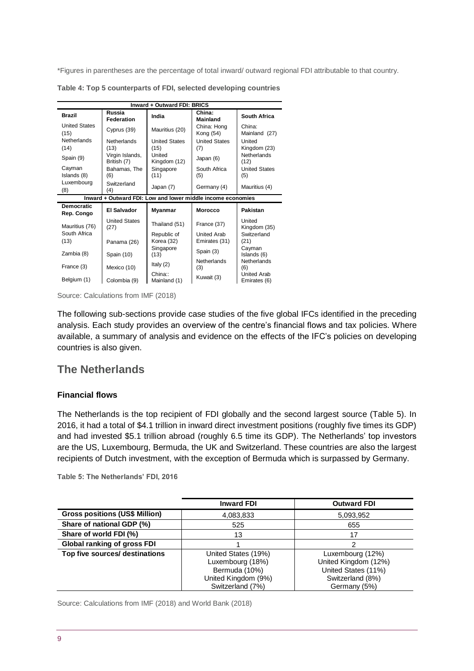\*Figures in parentheses are the percentage of total inward/ outward regional FDI attributable to that country.

| Inward + Outward FDI: BRICS     |                                |                              |                                                             |                                          |  |
|---------------------------------|--------------------------------|------------------------------|-------------------------------------------------------------|------------------------------------------|--|
| <b>Brazil</b>                   | Russia<br><b>Federation</b>    | India                        | China:<br><b>Mainland</b>                                   | South Africa                             |  |
| <b>United States</b><br>(15)    | Cyprus (39)                    | Mauritius (20)               | China: Hong<br>Kong (54)                                    | China:<br>Mainland (27)                  |  |
| Netherlands<br>(14)             | Netherlands<br>(13)            | <b>United States</b><br>(15) | <b>United States</b><br>(7)                                 | United<br>Kingdom (23)                   |  |
| Spain (9)                       | Virgin Islands,<br>British (7) | United<br>Kingdom (12)       | Japan (6)                                                   | Netherlands<br>(12)                      |  |
| Cayman<br>Islands (8)           | Bahamas, The<br>(6)            | Singapore<br>(11)            | South Africa<br>(5)                                         | <b>United States</b><br>(5)              |  |
| Luxembourg<br>(8)               | Switzerland<br>(4)             | Japan (7)                    | Germany (4)                                                 | Mauritius (4)                            |  |
|                                 |                                |                              | Inward + Outward FDI: Low and lower middle income economies |                                          |  |
| <b>Democratic</b><br>Rep. Congo | <b>El Salvador</b>             |                              |                                                             |                                          |  |
|                                 |                                | Myanmar                      | <b>Morocco</b>                                              | Pakistan                                 |  |
| Mauritius (76)                  | <b>United States</b><br>(27)   | Thailand (51)                | France (37)                                                 | United<br>Kingdom (35)                   |  |
| South Africa<br>(13)            |                                | Republic of<br>Korea (32)    | <b>United Arab</b><br>Emirates (31)                         | Switzerland<br>(21)                      |  |
| Zambia (8)                      | Panama (26)<br>Spain (10)      | Singapore<br>(13)            | Spain (3)                                                   | Cayman<br>Islands (6)                    |  |
| France (3)                      | Mexico (10)                    | Italy (2)<br>China::         | <b>Netherlands</b><br>(3)                                   | Netherlands<br>(6)<br><b>United Arab</b> |  |

**Table 4: Top 5 counterparts of FDI, selected developing countries**

Source: Calculations from IMF (2018)

The following sub-sections provide case studies of the five global IFCs identified in the preceding analysis. Each study provides an overview of the centre's financial flows and tax policies. Where available, a summary of analysis and evidence on the effects of the IFC's policies on developing countries is also given.

## **The Netherlands**

#### **Financial flows**

The Netherlands is the top recipient of FDI globally and the second largest source (Table 5). In 2016, it had a total of \$4.1 trillion in inward direct investment positions (roughly five times its GDP) and had invested \$5.1 trillion abroad (roughly 6.5 time its GDP). The Netherlands' top investors are the US, Luxembourg, Bermuda, the UK and Switzerland. These countries are also the largest recipients of Dutch investment, with the exception of Bermuda which is surpassed by Germany.

**Table 5: The Netherlands' FDI, 2016**

|                                       | <b>Inward FDI</b>                                                                                   | <b>Outward FDI</b>                                                                                  |
|---------------------------------------|-----------------------------------------------------------------------------------------------------|-----------------------------------------------------------------------------------------------------|
| <b>Gross positions (US\$ Million)</b> | 4,083,833                                                                                           | 5,093,952                                                                                           |
| Share of national GDP (%)             | 525                                                                                                 | 655                                                                                                 |
| Share of world FDI (%)                | 13                                                                                                  | 17                                                                                                  |
| <b>Global ranking of gross FDI</b>    |                                                                                                     | 2                                                                                                   |
| Top five sources/ destinations        | United States (19%)<br>Luxembourg (18%)<br>Bermuda (10%)<br>United Kingdom (9%)<br>Switzerland (7%) | Luxembourg (12%)<br>United Kingdom (12%)<br>United States (11%)<br>Switzerland (8%)<br>Germany (5%) |

Source: Calculations from IMF (2018) and World Bank (2018)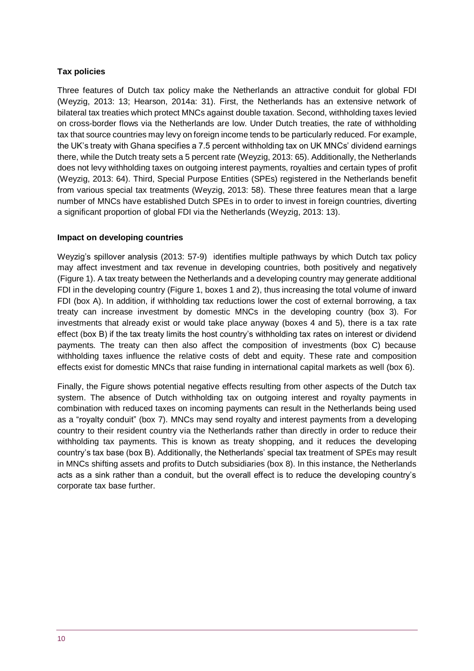#### **Tax policies**

Three features of Dutch tax policy make the Netherlands an attractive conduit for global FDI (Weyzig, 2013: 13; Hearson, 2014a: 31). First, the Netherlands has an extensive network of bilateral tax treaties which protect MNCs against double taxation. Second, withholding taxes levied on cross-border flows via the Netherlands are low. Under Dutch treaties, the rate of withholding tax that source countries may levy on foreign income tends to be particularly reduced. For example, the UK's treaty with Ghana specifies a 7.5 percent withholding tax on UK MNCs' dividend earnings there, while the Dutch treaty sets a 5 percent rate (Weyzig, 2013: 65). Additionally, the Netherlands does not levy withholding taxes on outgoing interest payments, royalties and certain types of profit (Weyzig, 2013: 64). Third, Special Purpose Entities (SPEs) registered in the Netherlands benefit from various special tax treatments (Weyzig, 2013: 58). These three features mean that a large number of MNCs have established Dutch SPEs in to order to invest in foreign countries, diverting a significant proportion of global FDI via the Netherlands (Weyzig, 2013: 13).

#### **Impact on developing countries**

Weyzig's spillover analysis (2013: 57-9) identifies multiple pathways by which Dutch tax policy may affect investment and tax revenue in developing countries, both positively and negatively (Figure 1). A tax treaty between the Netherlands and a developing country may generate additional FDI in the developing country (Figure 1, boxes 1 and 2), thus increasing the total volume of inward FDI (box A). In addition, if withholding tax reductions lower the cost of external borrowing, a tax treaty can increase investment by domestic MNCs in the developing country (box 3). For investments that already exist or would take place anyway (boxes 4 and 5), there is a tax rate effect (box B) if the tax treaty limits the host country's withholding tax rates on interest or dividend payments. The treaty can then also affect the composition of investments (box C) because withholding taxes influence the relative costs of debt and equity. These rate and composition effects exist for domestic MNCs that raise funding in international capital markets as well (box 6).

Finally, the Figure shows potential negative effects resulting from other aspects of the Dutch tax system. The absence of Dutch withholding tax on outgoing interest and royalty payments in combination with reduced taxes on incoming payments can result in the Netherlands being used as a "royalty conduit" (box 7). MNCs may send royalty and interest payments from a developing country to their resident country via the Netherlands rather than directly in order to reduce their withholding tax payments. This is known as treaty shopping, and it reduces the developing country's tax base (box B). Additionally, the Netherlands' special tax treatment of SPEs may result in MNCs shifting assets and profits to Dutch subsidiaries (box 8). In this instance, the Netherlands acts as a sink rather than a conduit, but the overall effect is to reduce the developing country's corporate tax base further.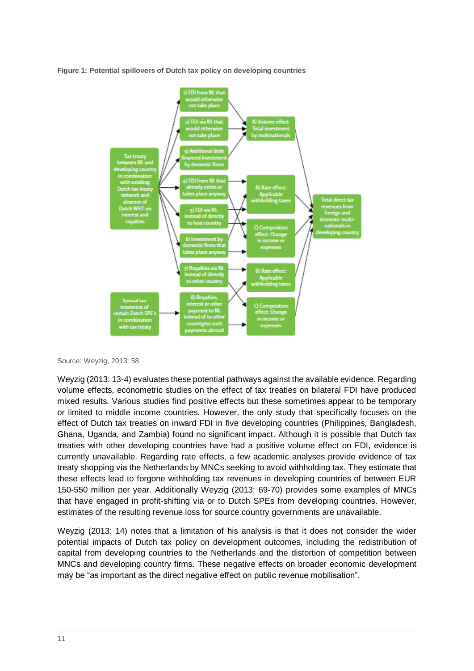**Figure 1: Potential spillovers of Dutch tax policy on developing countries**



Source: Weyzig, 2013: 58

Weyzig (2013: 13-4) evaluates these potential pathways against the available evidence. Regarding volume effects, econometric studies on the effect of tax treaties on bilateral FDI have produced mixed results. Various studies find positive effects but these sometimes appear to be temporary or limited to middle income countries. However, the only study that specifically focuses on the effect of Dutch tax treaties on inward FDI in five developing countries (Philippines, Bangladesh, Ghana, Uganda, and Zambia) found no significant impact. Although it is possible that Dutch tax treaties with other developing countries have had a positive volume effect on FDI, evidence is currently unavailable. Regarding rate effects, a few academic analyses provide evidence of tax treaty shopping via the Netherlands by MNCs seeking to avoid withholding tax. They estimate that these effects lead to forgone withholding tax revenues in developing countries of between EUR 150-550 million per year. Additionally Weyzig (2013: 69-70) provides some examples of MNCs that have engaged in profit-shifting via or to Dutch SPEs from developing countries. However, estimates of the resulting revenue loss for source country governments are unavailable.

Weyzig (2013: 14) notes that a limitation of his analysis is that it does not consider the wider potential impacts of Dutch tax policy on development outcomes, including the redistribution of capital from developing countries to the Netherlands and the distortion of competition between MNCs and developing country firms. These negative effects on broader economic development may be "as important as the direct negative effect on public revenue mobilisation".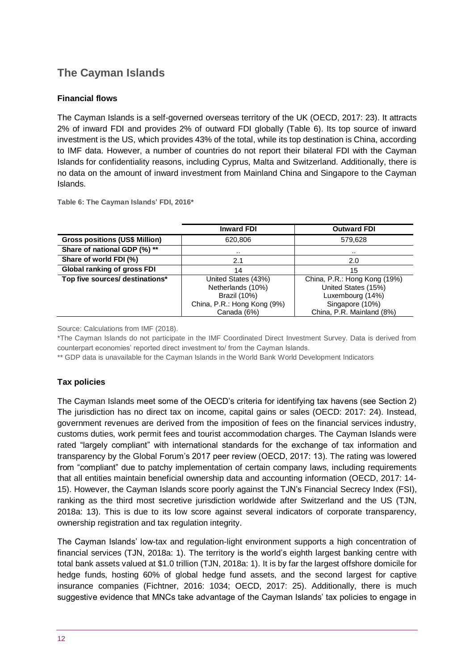## **The Cayman Islands**

#### **Financial flows**

The Cayman Islands is a self-governed overseas territory of the UK (OECD, 2017: 23). It attracts 2% of inward FDI and provides 2% of outward FDI globally (Table 6). Its top source of inward investment is the US, which provides 43% of the total, while its top destination is China, according to IMF data. However, a number of countries do not report their bilateral FDI with the Cayman Islands for confidentiality reasons, including Cyprus, Malta and Switzerland. Additionally, there is no data on the amount of inward investment from Mainland China and Singapore to the Cayman Islands.

**Table 6: The Cayman Islands' FDI, 2016\***

|                                       | <b>Inward FDI</b>           | <b>Outward FDI</b>           |
|---------------------------------------|-----------------------------|------------------------------|
| <b>Gross positions (US\$ Million)</b> | 620,806                     | 579,628                      |
| Share of national GDP (%) **          |                             |                              |
| Share of world FDI (%)                | 2.1                         | 2.0                          |
| Global ranking of gross FDI           | 14                          | 15                           |
| Top five sources/ destinations*       | United States (43%)         | China, P.R.: Hong Kong (19%) |
|                                       | Netherlands (10%)           | United States (15%)          |
|                                       | <b>Brazil (10%)</b>         | Luxembourg (14%)             |
|                                       | China, P.R.: Hong Kong (9%) | Singapore (10%)              |
|                                       | Canada (6%)                 | China, P.R. Mainland (8%)    |

Source: Calculations from IMF (2018).

\*The Cayman Islands do not participate in the IMF Coordinated Direct Investment Survey. Data is derived from counterpart economies' reported direct investment to/ from the Cayman Islands.

\*\* GDP data is unavailable for the Cayman Islands in the World Bank World Development Indicators

#### **Tax policies**

The Cayman Islands meet some of the OECD's criteria for identifying tax havens (see Section 2) The jurisdiction has no direct tax on income, capital gains or sales (OECD: 2017: 24). Instead, government revenues are derived from the imposition of fees on the financial services industry, customs duties, work permit fees and tourist accommodation charges. The Cayman Islands were rated "largely compliant" with international standards for the exchange of tax information and transparency by the Global Forum's 2017 peer review (OECD, 2017: 13). The rating was lowered from "compliant" due to patchy implementation of certain company laws, including requirements that all entities maintain beneficial ownership data and accounting information (OECD, 2017: 14- 15). However, the Cayman Islands score poorly against the TJN's Financial Secrecy Index (FSI), ranking as the third most secretive jurisdiction worldwide after Switzerland and the US (TJN, 2018a: 13). This is due to its low score against several indicators of corporate transparency, ownership registration and tax regulation integrity.

The Cayman Islands' low-tax and regulation-light environment supports a high concentration of financial services (TJN, 2018a: 1). The territory is the world's eighth largest banking centre with total bank assets valued at \$1.0 trillion (TJN, 2018a: 1). It is by far the largest offshore domicile for hedge funds, hosting 60% of global hedge fund assets, and the second largest for captive insurance companies (Fichtner, 2016: 1034; OECD, 2017: 25). Additionally, there is much suggestive evidence that MNCs take advantage of the Cayman Islands' tax policies to engage in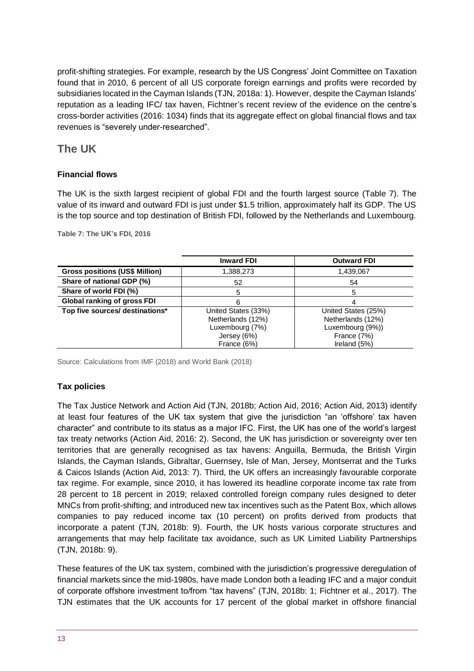profit-shifting strategies. For example, research by the US Congress' Joint Committee on Taxation found that in 2010, 6 percent of all US corporate foreign earnings and profits were recorded by subsidiaries located in the Cayman Islands (TJN, 2018a: 1). However, despite the Cayman Islands' reputation as a leading IFC/ tax haven, Fichtner's recent review of the evidence on the centre's cross-border activities (2016: 1034) finds that its aggregate effect on global financial flows and tax revenues is "severely under-researched".

## **The UK**

## **Financial flows**

The UK is the sixth largest recipient of global FDI and the fourth largest source (Table 7). The value of its inward and outward FDI is just under \$1.5 trillion, approximately half its GDP. The US is the top source and top destination of British FDI, followed by the Netherlands and Luxembourg.

**Table 7: The UK's FDI, 2016**

|                                       | <b>Inward FDI</b>   | <b>Outward FDI</b>  |
|---------------------------------------|---------------------|---------------------|
| <b>Gross positions (US\$ Million)</b> | 1,388,273           | 1,439,067           |
| Share of national GDP (%)             | 52                  | 54                  |
| Share of world FDI (%)                | 5                   |                     |
| <b>Global ranking of gross FDI</b>    | 6                   |                     |
| Top five sources/ destinations*       | United States (33%) | United States (25%) |
|                                       | Netherlands (12%)   | Netherlands (12%)   |
|                                       | Luxembourg (7%)     | Luxembourg (9%))    |
|                                       | Jersey (6%)         | France (7%)         |
|                                       | France (6%)         | Ireland (5%)        |

Source: Calculations from IMF (2018) and World Bank (2018)

#### **Tax policies**

The Tax Justice Network and Action Aid (TJN, 2018b; Action Aid, 2016; Action Aid, 2013) identify at least four features of the UK tax system that give the jurisdiction "an 'offshore' tax haven character" and contribute to its status as a major IFC. First, the UK has one of the world's largest tax treaty networks (Action Aid, 2016: 2). Second, the UK has jurisdiction or sovereignty over ten territories that are generally recognised as tax havens: Anguilla, Bermuda, the British Virgin Islands, the Cayman Islands, Gibraltar, Guernsey, Isle of Man, Jersey, Montserrat and the Turks & Caicos Islands (Action Aid, 2013: 7). Third, the UK offers an increasingly favourable corporate tax regime. For example, since 2010, it has lowered its headline corporate income tax rate from 28 percent to 18 percent in 2019; relaxed controlled foreign company rules designed to deter MNCs from profit-shifting; and introduced new tax incentives such as the Patent Box, which allows companies to pay reduced income tax (10 percent) on profits derived from products that incorporate a patent (TJN, 2018b: 9). Fourth, the UK hosts various corporate structures and arrangements that may help facilitate tax avoidance, such as UK Limited Liability Partnerships (TJN, 2018b: 9).

These features of the UK tax system, combined with the jurisdiction's progressive deregulation of financial markets since the mid-1980s, have made London both a leading IFC and a major conduit of corporate offshore investment to/from "tax havens" (TJN, 2018b: 1; Fichtner et al., 2017). The TJN estimates that the UK accounts for 17 percent of the global market in offshore financial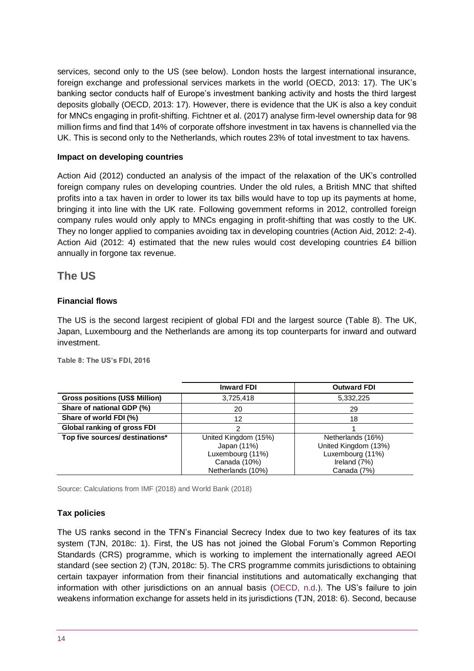services, second only to the US (see below). London hosts the largest international insurance, foreign exchange and professional services markets in the world (OECD, 2013: 17). The UK's banking sector conducts half of Europe's investment banking activity and hosts the third largest deposits globally (OECD, 2013: 17). However, there is evidence that the UK is also a key conduit for MNCs engaging in profit-shifting. Fichtner et al. (2017) analyse firm-level ownership data for 98 million firms and find that 14% of corporate offshore investment in tax havens is channelled via the UK. This is second only to the Netherlands, which routes 23% of total investment to tax havens.

#### **Impact on developing countries**

Action Aid (2012) conducted an analysis of the impact of the relaxation of the UK's controlled foreign company rules on developing countries. Under the old rules, a British MNC that shifted profits into a tax haven in order to lower its tax bills would have to top up its payments at home, bringing it into line with the UK rate. Following government reforms in 2012, controlled foreign company rules would only apply to MNCs engaging in profit-shifting that was costly to the UK. They no longer applied to companies avoiding tax in developing countries (Action Aid, 2012: 2-4). Action Aid (2012: 4) estimated that the new rules would cost developing countries £4 billion annually in forgone tax revenue.

## **The US**

#### **Financial flows**

The US is the second largest recipient of global FDI and the largest source (Table 8). The UK, Japan, Luxembourg and the Netherlands are among its top counterparts for inward and outward investment.

|                                       | <b>Inward FDI</b>    | <b>Outward FDI</b>   |
|---------------------------------------|----------------------|----------------------|
| <b>Gross positions (US\$ Million)</b> | 3,725,418            | 5,332,225            |
| Share of national GDP (%)             | 20                   | 29                   |
| Share of world FDI (%)                | 12                   | 18                   |
| <b>Global ranking of gross FDI</b>    |                      |                      |
| Top five sources/ destinations*       | United Kingdom (15%) | Netherlands (16%)    |
|                                       | Japan (11%)          | United Kingdom (13%) |
|                                       | Luxembourg (11%)     | Luxembourg (11%)     |
|                                       | Canada (10%)         | Ireland (7%)         |
|                                       | Netherlands (10%)    | Canada (7%)          |

**Table 8: The US's FDI, 2016**

Source: Calculations from IMF (2018) and World Bank (2018)

#### **Tax policies**

The US ranks second in the TFN's Financial Secrecy Index due to two key features of its tax system (TJN, 2018c: 1). First, the US has not joined the Global Forum's Common Reporting Standards (CRS) programme, which is working to implement the internationally agreed AEOI standard (see section 2) (TJN, 2018c: 5). The CRS programme commits jurisdictions to obtaining certain taxpayer information from their financial institutions and automatically exchanging that information with other jurisdictions on an annual basis [\(OECD, n.d.](http://www.oecd.org/tax/automatic-exchange/common-reporting-standard/)). The US's failure to join weakens information exchange for assets held in its jurisdictions (TJN, 2018: 6). Second, because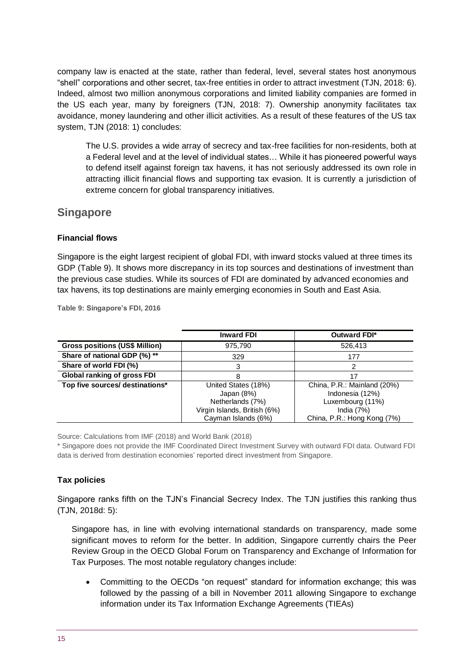company law is enacted at the state, rather than federal, level, several states host anonymous "shell" corporations and other secret, tax-free entities in order to attract investment (TJN, 2018: 6). Indeed, almost two million anonymous corporations and limited liability companies are formed in the US each year, many by foreigners (TJN, 2018: 7). Ownership anonymity facilitates tax avoidance, money laundering and other illicit activities. As a result of these features of the US tax system, TJN (2018: 1) concludes:

The U.S. provides a wide array of secrecy and tax-free facilities for non-residents, both at a Federal level and at the level of individual states… While it has pioneered powerful ways to defend itself against foreign tax havens, it has not seriously addressed its own role in attracting illicit financial flows and supporting tax evasion. It is currently a jurisdiction of extreme concern for global transparency initiatives.

## **Singapore**

#### **Financial flows**

Singapore is the eight largest recipient of global FDI, with inward stocks valued at three times its GDP (Table 9). It shows more discrepancy in its top sources and destinations of investment than the previous case studies. While its sources of FDI are dominated by advanced economies and tax havens, its top destinations are mainly emerging economies in South and East Asia.

|                                       | <b>Inward FDI</b>            | <b>Outward FDI*</b>         |
|---------------------------------------|------------------------------|-----------------------------|
| <b>Gross positions (US\$ Million)</b> | 975,790                      | 526,413                     |
| Share of national GDP (%) **          | 329                          | 177                         |
| Share of world FDI (%)                | 3                            |                             |
| <b>Global ranking of gross FDI</b>    | 8                            | 17                          |
| Top five sources/ destinations*       | United States (18%)          | China, P.R.: Mainland (20%) |
|                                       | Japan $(8%)$                 | Indonesia (12%)             |
|                                       | Netherlands (7%)             | Luxembourg (11%)            |
|                                       | Virgin Islands, British (6%) | India $(7%)$                |
|                                       | Cayman Islands (6%)          | China, P.R.: Hong Kong (7%) |

**Table 9: Singapore's FDI, 2016**

Source: Calculations from IMF (2018) and World Bank (2018)

\* Singapore does not provide the IMF Coordinated Direct Investment Survey with outward FDI data. Outward FDI data is derived from destination economies' reported direct investment from Singapore.

## **Tax policies**

Singapore ranks fifth on the TJN's Financial Secrecy Index. The TJN justifies this ranking thus (TJN, 2018d: 5):

Singapore has, in line with evolving international standards on transparency, made some significant moves to reform for the better. In addition, Singapore currently chairs the Peer Review Group in the OECD Global Forum on Transparency and Exchange of Information for Tax Purposes. The most notable regulatory changes include:

• Committing to the OECDs "on request" standard for information exchange; this was followed by the passing of a bill in November 2011 allowing Singapore to exchange information under its Tax Information Exchange Agreements (TIEAs)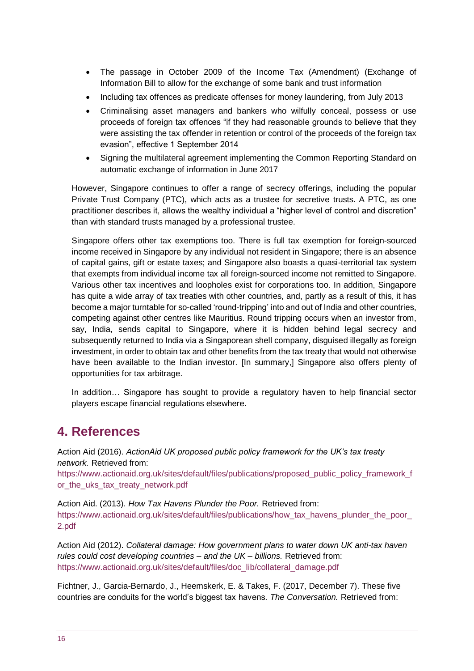- The passage in October 2009 of the Income Tax (Amendment) (Exchange of Information Bill to allow for the exchange of some bank and trust information
- Including tax offences as predicate offenses for money laundering, from July 2013
- Criminalising asset managers and bankers who wilfully conceal, possess or use proceeds of foreign tax offences "if they had reasonable grounds to believe that they were assisting the tax offender in retention or control of the proceeds of the foreign tax evasion", effective 1 September 2014
- Signing the multilateral agreement implementing the Common Reporting Standard on automatic exchange of information in June 2017

However, Singapore continues to offer a range of secrecy offerings, including the popular Private Trust Company (PTC), which acts as a trustee for secretive trusts. A PTC, as one practitioner describes it, allows the wealthy individual a "higher level of control and discretion" than with standard trusts managed by a professional trustee.

Singapore offers other tax exemptions too. There is full tax exemption for foreign-sourced income received in Singapore by any individual not resident in Singapore; there is an absence of capital gains, gift or estate taxes; and Singapore also boasts a quasi-territorial tax system that exempts from individual income tax all foreign-sourced income not remitted to Singapore. Various other tax incentives and loopholes exist for corporations too. In addition, Singapore has quite a wide array of tax treaties with other countries, and, partly as a result of this, it has become a major turntable for so-called 'round-tripping' into and out of India and other countries, competing against other centres like Mauritius. Round tripping occurs when an investor from, say, India, sends capital to Singapore, where it is hidden behind legal secrecy and subsequently returned to India via a Singaporean shell company, disguised illegally as foreign investment, in order to obtain tax and other benefits from the tax treaty that would not otherwise have been available to the Indian investor. IIn summary, I Singapore also offers plenty of opportunities for tax arbitrage.

In addition… Singapore has sought to provide a regulatory haven to help financial sector players escape financial regulations elsewhere.

# **4. References**

Action Aid (2016). *ActionAid UK proposed public policy framework for the UK's tax treaty network.* Retrieved from:

[https://www.actionaid.org.uk/sites/default/files/publications/proposed\\_public\\_policy\\_framework\\_f](https://www.actionaid.org.uk/sites/default/files/publications/proposed_public_policy_framework_for_the_uks_tax_treaty_network.pdf) or the uks tax treaty network.pdf

Action Aid. (2013). *How Tax Havens Plunder the Poor.* Retrieved from: [https://www.actionaid.org.uk/sites/default/files/publications/how\\_tax\\_havens\\_plunder\\_the\\_poor\\_](https://www.actionaid.org.uk/sites/default/files/publications/how_tax_havens_plunder_the_poor_2.pdf) [2.pdf](https://www.actionaid.org.uk/sites/default/files/publications/how_tax_havens_plunder_the_poor_2.pdf)

Action Aid (2012). *Collateral damage: How government plans to water down UK anti-tax haven rules could cost developing countries – and the UK – billions.* Retrieved from: [https://www.actionaid.org.uk/sites/default/files/doc\\_lib/collateral\\_damage.pdf](https://www.actionaid.org.uk/sites/default/files/doc_lib/collateral_damage.pdf)

Fichtner, J., Garcia-Bernardo, J., Heemskerk, E. & Takes, F. (2017, December 7). These five countries are conduits for the world's biggest tax havens. *The Conversation.* Retrieved from: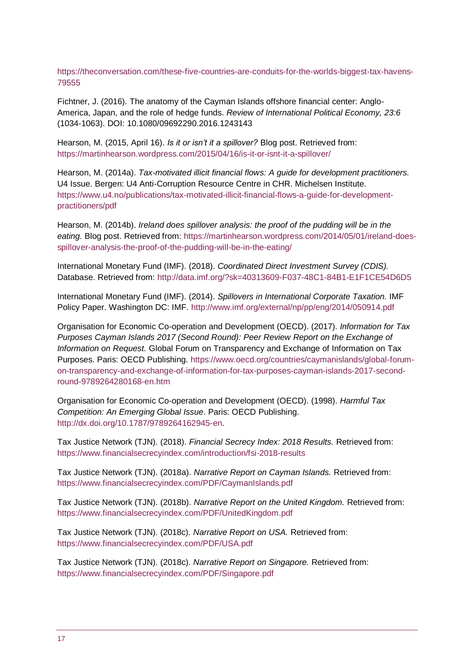[https://theconversation.com/these-five-countries-are-conduits-for-the-worlds-biggest-tax-havens-](https://theconversation.com/these-five-countries-are-conduits-for-the-worlds-biggest-tax-havens-79555)[79555](https://theconversation.com/these-five-countries-are-conduits-for-the-worlds-biggest-tax-havens-79555)

Fichtner, J. (2016). The anatomy of the Cayman Islands offshore financial center: Anglo-America, Japan, and the role of hedge funds. *Review of International Political Economy, 23:6* (1034-1063). DOI: 10.1080/09692290.2016.1243143

Hearson, M. (2015, April 16). *Is it or isn't it a spillover?* Blog post. Retrieved from: <https://martinhearson.wordpress.com/2015/04/16/is-it-or-isnt-it-a-spillover/>

Hearson, M. (2014a). *Tax-motivated illicit financial flows: A guide for development practitioners.*  U4 Issue. Bergen: U4 Anti-Corruption Resource Centre in CHR. Michelsen Institute. [https://www.u4.no/publications/tax-motivated-illicit-financial-flows-a-guide-for-development](https://www.u4.no/publications/tax-motivated-illicit-financial-flows-a-guide-for-development-practitioners/pdf)[practitioners/pdf](https://www.u4.no/publications/tax-motivated-illicit-financial-flows-a-guide-for-development-practitioners/pdf)

Hearson, M. (2014b). *Ireland does spillover analysis: the proof of the pudding will be in the eating.* Blog post. Retrieved from: [https://martinhearson.wordpress.com/2014/05/01/ireland-does](https://martinhearson.wordpress.com/2014/05/01/ireland-does-spillover-analysis-the-proof-of-the-pudding-will-be-in-the-eating/)[spillover-analysis-the-proof-of-the-pudding-will-be-in-the-eating/](https://martinhearson.wordpress.com/2014/05/01/ireland-does-spillover-analysis-the-proof-of-the-pudding-will-be-in-the-eating/)

International Monetary Fund (IMF). (2018). *Coordinated Direct Investment Survey (CDIS).*  Database. Retrieved from:<http://data.imf.org/?sk=40313609-F037-48C1-84B1-E1F1CE54D6D5>

International Monetary Fund (IMF). (2014). *Spillovers in International Corporate Taxation.* IMF Policy Paper. Washington DC: IMF.<http://www.imf.org/external/np/pp/eng/2014/050914.pdf>

Organisation for Economic Co-operation and Development (OECD). (2017). *Information for Tax Purposes Cayman Islands 2017 (Second Round): Peer Review Report on the Exchange of Information on Request.* Global Forum on Transparency and Exchange of Information on Tax Purposes. Paris: OECD Publishing. [https://www.oecd.org/countries/caymanislands/global-forum](https://www.oecd.org/countries/caymanislands/global-forum-on-transparency-and-exchange-of-information-for-tax-purposes-cayman-islands-2017-second-round-9789264280168-en.htm)[on-transparency-and-exchange-of-information-for-tax-purposes-cayman-islands-2017-second](https://www.oecd.org/countries/caymanislands/global-forum-on-transparency-and-exchange-of-information-for-tax-purposes-cayman-islands-2017-second-round-9789264280168-en.htm)[round-9789264280168-en.htm](https://www.oecd.org/countries/caymanislands/global-forum-on-transparency-and-exchange-of-information-for-tax-purposes-cayman-islands-2017-second-round-9789264280168-en.htm)

Organisation for Economic Co-operation and Development (OECD). (1998). *Harmful Tax Competition: An Emerging Global Issue*. Paris: OECD Publishing. [http://dx.doi.org/10.1787/9789264162945-en.](http://dx.doi.org/10.1787/9789264162945-en)

Tax Justice Network (TJN). (2018). *Financial Secrecy Index: 2018 Results.* Retrieved from: <https://www.financialsecrecyindex.com/introduction/fsi-2018-results>

Tax Justice Network (TJN). (2018a). *Narrative Report on Cayman Islands.* Retrieved from: <https://www.financialsecrecyindex.com/PDF/CaymanIslands.pdf>

Tax Justice Network (TJN). (2018b). *Narrative Report on the United Kingdom.* Retrieved from: <https://www.financialsecrecyindex.com/PDF/UnitedKingdom.pdf>

Tax Justice Network (TJN). (2018c). *Narrative Report on USA.* Retrieved from: <https://www.financialsecrecyindex.com/PDF/USA.pdf>

Tax Justice Network (TJN). (2018c). *Narrative Report on Singapore.* Retrieved from: <https://www.financialsecrecyindex.com/PDF/Singapore.pdf>